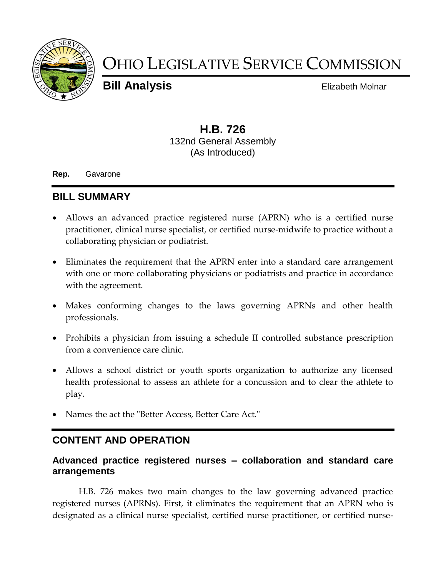

# OHIO LEGISLATIVE SERVICE COMMISSION

**Bill Analysis** Elizabeth Molnar

## **H.B. 726** 132nd General Assembly (As Introduced)

**Rep.** Gavarone

# **BILL SUMMARY**

- Allows an advanced practice registered nurse (APRN) who is a certified nurse practitioner, clinical nurse specialist, or certified nurse-midwife to practice without a collaborating physician or podiatrist.
- Eliminates the requirement that the APRN enter into a standard care arrangement with one or more collaborating physicians or podiatrists and practice in accordance with the agreement.
- Makes conforming changes to the laws governing APRNs and other health professionals.
- Prohibits a physician from issuing a schedule II controlled substance prescription from a convenience care clinic.
- Allows a school district or youth sports organization to authorize any licensed health professional to assess an athlete for a concussion and to clear the athlete to play.
- Names the act the "Better Access, Better Care Act."

## **CONTENT AND OPERATION**

#### **Advanced practice registered nurses – collaboration and standard care arrangements**

H.B. 726 makes two main changes to the law governing advanced practice registered nurses (APRNs). First, it eliminates the requirement that an APRN who is designated as a clinical nurse specialist, certified nurse practitioner, or certified nurse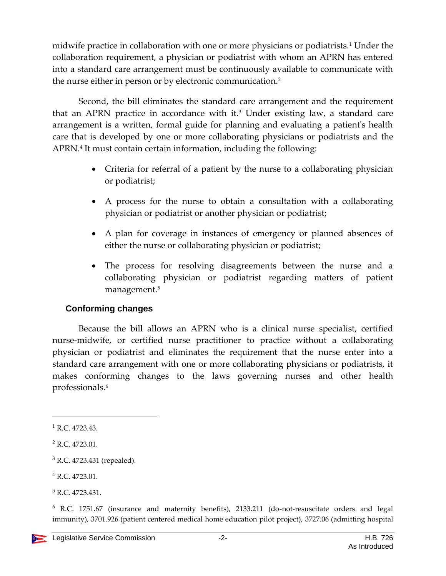midwife practice in collaboration with one or more physicians or podiatrists.<sup>1</sup> Under the collaboration requirement, a physician or podiatrist with whom an APRN has entered into a standard care arrangement must be continuously available to communicate with the nurse either in person or by electronic communication.<sup>2</sup>

Second, the bill eliminates the standard care arrangement and the requirement that an APRN practice in accordance with it.<sup>3</sup> Under existing law, a standard care arrangement is a written, formal guide for planning and evaluating a patient's health care that is developed by one or more collaborating physicians or podiatrists and the APRN.<sup>4</sup> It must contain certain information, including the following:

- Criteria for referral of a patient by the nurse to a collaborating physician or podiatrist;
- A process for the nurse to obtain a consultation with a collaborating physician or podiatrist or another physician or podiatrist;
- A plan for coverage in instances of emergency or planned absences of either the nurse or collaborating physician or podiatrist;
- The process for resolving disagreements between the nurse and a collaborating physician or podiatrist regarding matters of patient management.<sup>5</sup>

#### **Conforming changes**

Because the bill allows an APRN who is a clinical nurse specialist, certified nurse-midwife, or certified nurse practitioner to practice without a collaborating physician or podiatrist and eliminates the requirement that the nurse enter into a standard care arrangement with one or more collaborating physicians or podiatrists, it makes conforming changes to the laws governing nurses and other health professionals.<sup>6</sup>

l

 $1$  R.C. 4723.43.

<sup>2</sup> R.C. 4723.01.

<sup>3</sup> R.C. 4723.431 (repealed).

<sup>4</sup> R.C. 4723.01.

<sup>&</sup>lt;sup>5</sup> R.C. 4723.431.

<sup>6</sup> R.C. 1751.67 (insurance and maternity benefits), 2133.211 (do-not-resuscitate orders and legal immunity), 3701.926 (patient centered medical home education pilot project), 3727.06 (admitting hospital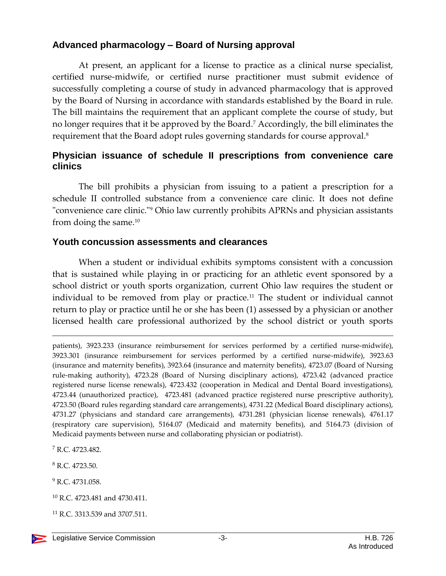## **Advanced pharmacology – Board of Nursing approval**

At present, an applicant for a license to practice as a clinical nurse specialist, certified nurse-midwife, or certified nurse practitioner must submit evidence of successfully completing a course of study in advanced pharmacology that is approved by the Board of Nursing in accordance with standards established by the Board in rule. The bill maintains the requirement that an applicant complete the course of study, but no longer requires that it be approved by the Board.<sup>7</sup> Accordingly, the bill eliminates the requirement that the Board adopt rules governing standards for course approval.<sup>8</sup>

### **Physician issuance of schedule II prescriptions from convenience care clinics**

The bill prohibits a physician from issuing to a patient a prescription for a schedule II controlled substance from a convenience care clinic. It does not define "convenience care clinic."<sup>9</sup> Ohio law currently prohibits APRNs and physician assistants from doing the same.<sup>10</sup>

#### **Youth concussion assessments and clearances**

When a student or individual exhibits symptoms consistent with a concussion that is sustained while playing in or practicing for an athletic event sponsored by a school district or youth sports organization, current Ohio law requires the student or individual to be removed from play or practice.<sup>11</sup> The student or individual cannot return to play or practice until he or she has been (1) assessed by a physician or another licensed health care professional authorized by the school district or youth sports

patients), 3923.233 (insurance reimbursement for services performed by a certified nurse-midwife), 3923.301 (insurance reimbursement for services performed by a certified nurse-midwife), 3923.63 (insurance and maternity benefits), 3923.64 (insurance and maternity benefits), 4723.07 (Board of Nursing rule-making authority), 4723.28 (Board of Nursing disciplinary actions), 4723.42 (advanced practice registered nurse license renewals), 4723.432 (cooperation in Medical and Dental Board investigations), 4723.44 (unauthorized practice), 4723.481 (advanced practice registered nurse prescriptive authority), 4723.50 (Board rules regarding standard care arrangements), 4731.22 (Medical Board disciplinary actions), 4731.27 (physicians and standard care arrangements), 4731.281 (physician license renewals), 4761.17 (respiratory care supervision), 5164.07 (Medicaid and maternity benefits), and 5164.73 (division of Medicaid payments between nurse and collaborating physician or podiatrist).

<sup>7</sup> R.C. 4723.482.

 $\overline{a}$ 

<sup>8</sup> R.C. 4723.50.

<sup>11</sup> R.C. 3313.539 and 3707.511.

<sup>&</sup>lt;sup>9</sup> R.C. 4731.058.

<sup>10</sup> R.C. 4723.481 and 4730.411.